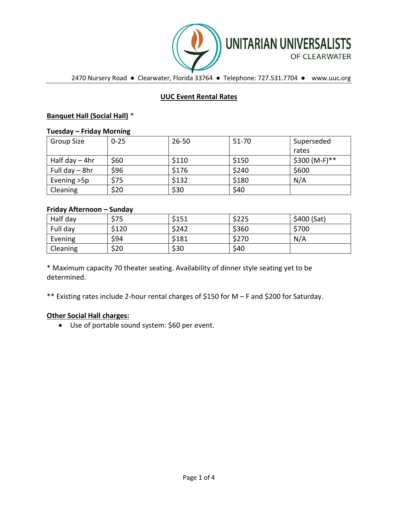

2470 Nursery Road ● Clearwater, Florida 33764 ● Telephone: 727.531.7704 ● www.uuc.org

# **UUC Event Rental Rates**

# **Banquet Hall (Social Hall)** \*

#### **Tuesday – Friday Morning**

| Group Size       | $0 - 25$ | $26 - 50$ | 51-70 | Superseded     |
|------------------|----------|-----------|-------|----------------|
|                  |          |           |       | rates          |
| Half day $-$ 4hr | \$60     | \$110     | \$150 | $$300 (M-F)**$ |
| Full day - 8hr   | \$96     | \$176     | \$240 | \$600          |
| Evening > 5p     | \$75     | \$132     | \$180 | N/A            |
| Cleaning         | \$20     | \$30      | \$40  |                |

# **Friday Afternoon – Sunday**

| Half day | \$75  | \$151 | \$225 | \$400 (Sat) |
|----------|-------|-------|-------|-------------|
| Full day | \$120 | \$242 | \$360 | \$700       |
| Evening  | \$94  | \$181 | \$270 | N/A         |
| Cleaning | \$20  | \$30  | \$40  |             |

\* Maximum capacity 70 theater seating. Availability of dinner style seating yet to be determined.

\*\* Existing rates include 2-hour rental charges of \$150 for M – F and \$200 for Saturday.

# **Other Social Hall charges:**

• Use of portable sound system: \$60 per event.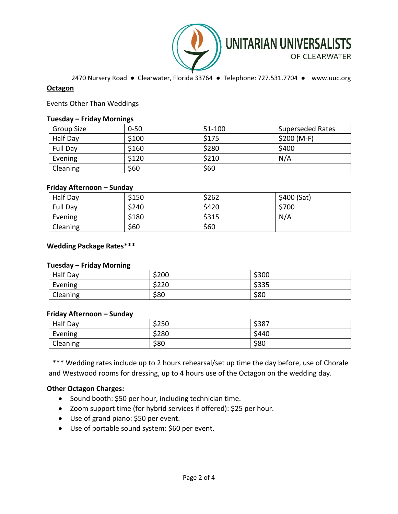

2470 Nursery Road ● Clearwater, Florida 33764 ● Telephone: 727.531.7704 ● www.uuc.org

### **Octagon**

Events Other Than Weddings

#### **Tuesday – Friday Mornings**

| <b>Group Size</b> | $0 - 50$ | 51-100 | <b>Superseded Rates</b> |
|-------------------|----------|--------|-------------------------|
| Half Day          | \$100    | \$175  | $$200 (M-F)$            |
| Full Day          | \$160    | \$280  | \$400                   |
| Evening           | \$120    | \$210  | N/A                     |
| Cleaning          | \$60     | \$60   |                         |

### **Friday Afternoon – Sunday**

| Half Day | \$150 | \$262 | \$400(Sat) |
|----------|-------|-------|------------|
| Full Day | \$240 | \$420 | \$700      |
| Evening  | \$180 | \$315 | N/A        |
| Cleaning | \$60  | \$60  |            |

### **Wedding Package Rates\*\*\***

#### **Tuesday – Friday Morning**

| Half Day | \$200 | \$300 |
|----------|-------|-------|
| Evening  | \$220 | \$335 |
| Cleaning | \$80  | \$80  |

#### **Friday Afternoon – Sunday**

| Half Day | \$250 | \$387 |
|----------|-------|-------|
| Evening  | \$280 | \$440 |
| Cleaning | \$80  | \$80  |

 \*\*\* Wedding rates include up to 2 hours rehearsal/set up time the day before, use of Chorale and Westwood rooms for dressing, up to 4 hours use of the Octagon on the wedding day.

### **Other Octagon Charges:**

- Sound booth: \$50 per hour, including technician time.
- Zoom support time (for hybrid services if offered): \$25 per hour.
- Use of grand piano: \$50 per event.
- Use of portable sound system: \$60 per event.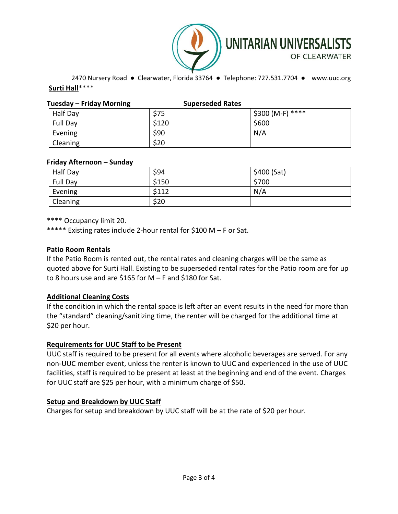

2470 Nursery Road ● Clearwater, Florida 33764 ● Telephone: 727.531.7704 ● www.uuc.org

# **Surti Hall**\*\*\*\*

| Tuesday – Friday Morning | <b>Superseded Rates</b> |                  |
|--------------------------|-------------------------|------------------|
| Half Day                 | \$75                    | \$300 (M-F) **** |
| Full Day                 | \$120                   | \$600            |
| Evening                  | \$90                    | N/A              |
| Cleaning                 | \$20                    |                  |

# **Friday Afternoon – Sunday**

| Half Day | \$94  | \$400 (Sat) |
|----------|-------|-------------|
| Full Day | \$150 | \$700       |
| Evening  | \$112 | N/A         |
| Cleaning | \$20  |             |

\*\*\*\* Occupancy limit 20.

\*\*\*\*\* Existing rates include 2-hour rental for \$100 M – F or Sat.

# **Patio Room Rentals**

If the Patio Room is rented out, the rental rates and cleaning charges will be the same as quoted above for Surti Hall. Existing to be superseded rental rates for the Patio room are for up to 8 hours use and are \$165 for  $M - F$  and \$180 for Sat.

# **Additional Cleaning Costs**

If the condition in which the rental space is left after an event results in the need for more than the "standard" cleaning/sanitizing time, the renter will be charged for the additional time at \$20 per hour.

# **Requirements for UUC Staff to be Present**

UUC staff is required to be present for all events where alcoholic beverages are served. For any non-UUC member event, unless the renter is known to UUC and experienced in the use of UUC facilities, staff is required to be present at least at the beginning and end of the event. Charges for UUC staff are \$25 per hour, with a minimum charge of \$50.

# **Setup and Breakdown by UUC Staff**

Charges for setup and breakdown by UUC staff will be at the rate of \$20 per hour.